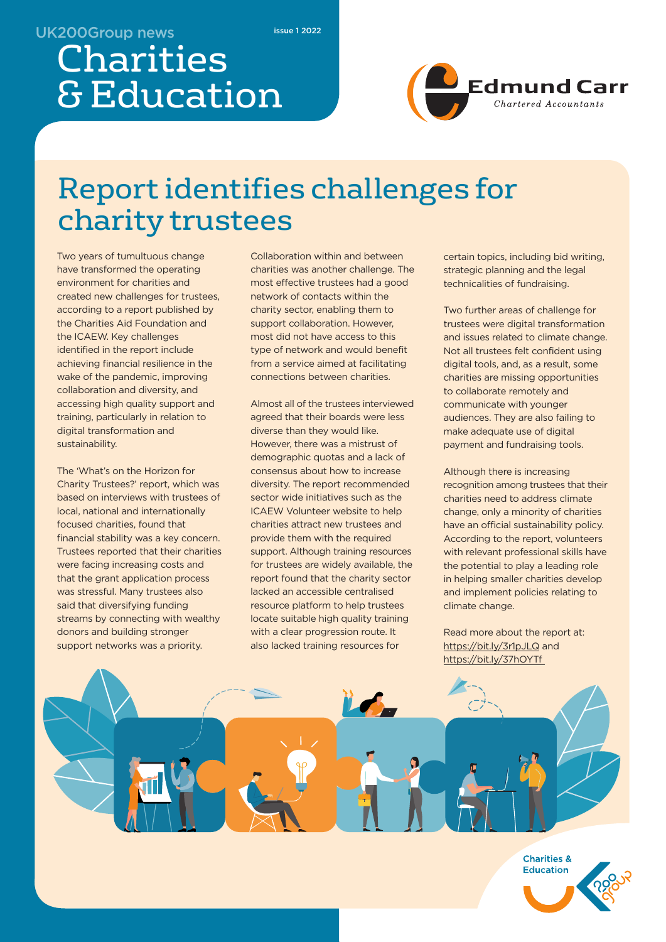#### UK200Group news

issue 1 2022

# Charities & Education



## Report identifies challenges for charity trustees

Two years of tumultuous change have transformed the operating environment for charities and created new challenges for trustees, according to a report published by the Charities Aid Foundation and the ICAEW. Key challenges identified in the report include achieving financial resilience in the wake of the pandemic, improving collaboration and diversity, and accessing high quality support and training, particularly in relation to digital transformation and sustainability.

The 'What's on the Horizon for Charity Trustees?' report, which was based on interviews with trustees of local, national and internationally focused charities, found that financial stability was a key concern. Trustees reported that their charities were facing increasing costs and that the grant application process was stressful. Many trustees also said that diversifying funding streams by connecting with wealthy donors and building stronger support networks was a priority.

Collaboration within and between charities was another challenge. The most effective trustees had a good network of contacts within the charity sector, enabling them to support collaboration. However, most did not have access to this type of network and would benefit from a service aimed at facilitating connections between charities.

Almost all of the trustees interviewed agreed that their boards were less diverse than they would like. However, there was a mistrust of demographic quotas and a lack of consensus about how to increase diversity. The report recommended sector wide initiatives such as the ICAEW Volunteer website to help charities attract new trustees and provide them with the required support. Although training resources for trustees are widely available, the report found that the charity sector lacked an accessible centralised resource platform to help trustees locate suitable high quality training with a clear progression route. It also lacked training resources for

certain topics, including bid writing, strategic planning and the legal technicalities of fundraising.

Two further areas of challenge for trustees were digital transformation and issues related to climate change. Not all trustees felt confident using digital tools, and, as a result, some charities are missing opportunities to collaborate remotely and communicate with younger audiences. They are also failing to make adequate use of digital payment and fundraising tools.

Although there is increasing recognition among trustees that their charities need to address climate change, only a minority of charities have an official sustainability policy. According to the report, volunteers with relevant professional skills have the potential to play a leading role in helping smaller charities develop and implement policies relating to climate change.

Read more about the report at: https://bit.ly/3r1pJLQ and https://bit.ly/37hOYTf



**Charities & Education**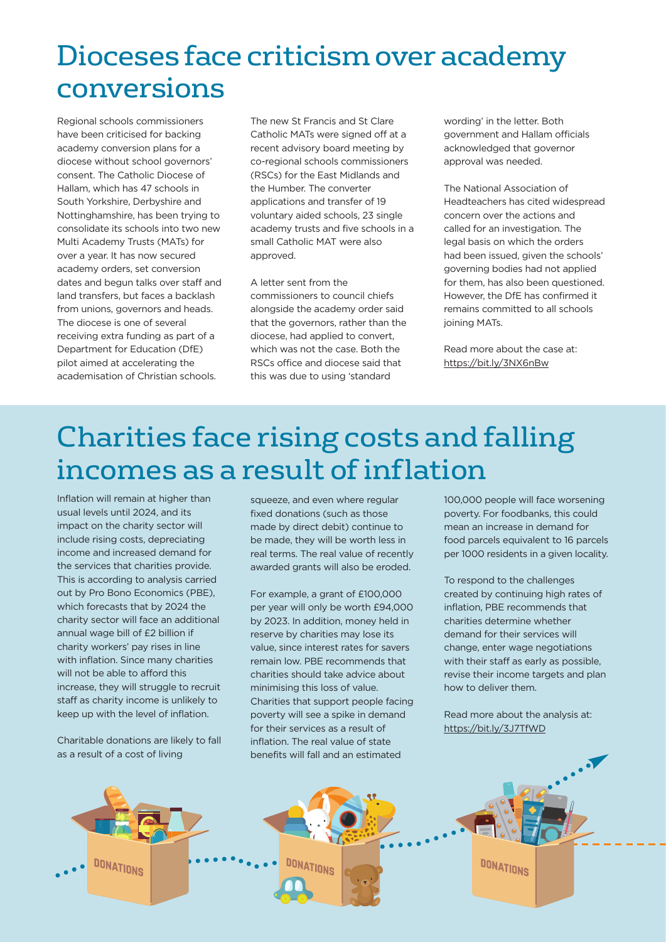### Dioceses face criticism over academy conversions

Regional schools commissioners have been criticised for backing academy conversion plans for a diocese without school governors' consent. The Catholic Diocese of Hallam, which has 47 schools in South Yorkshire, Derbyshire and Nottinghamshire, has been trying to consolidate its schools into two new Multi Academy Trusts (MATs) for over a year. It has now secured academy orders, set conversion dates and begun talks over staff and land transfers, but faces a backlash from unions, governors and heads. The diocese is one of several receiving extra funding as part of a Department for Education (DfE) pilot aimed at accelerating the academisation of Christian schools.

The new St Francis and St Clare Catholic MATs were signed off at a recent advisory board meeting by co-regional schools commissioners (RSCs) for the East Midlands and the Humber. The converter applications and transfer of 19 voluntary aided schools, 23 single academy trusts and five schools in a small Catholic MAT were also approved.

A letter sent from the commissioners to council chiefs alongside the academy order said that the governors, rather than the diocese, had applied to convert, which was not the case. Both the RSCs office and diocese said that this was due to using 'standard

wording' in the letter. Both government and Hallam officials acknowledged that governor approval was needed.

The National Association of Headteachers has cited widespread concern over the actions and called for an investigation. The legal basis on which the orders had been issued, given the schools' governing bodies had not applied for them, has also been questioned. However, the DfE has confirmed it remains committed to all schools joining MATs.

Read more about the case at: https://bit.ly/3NX6nBw

## Charities face rising costs and falling incomes as a result of inflation

Inflation will remain at higher than usual levels until 2024, and its impact on the charity sector will include rising costs, depreciating income and increased demand for the services that charities provide. This is according to analysis carried out by Pro Bono Economics (PBE), which forecasts that by 2024 the charity sector will face an additional annual wage bill of £2 billion if charity workers' pay rises in line with inflation. Since many charities will not be able to afford this increase, they will struggle to recruit staff as charity income is unlikely to keep up with the level of inflation.

Charitable donations are likely to fall as a result of a cost of living

squeeze, and even where regular fixed donations (such as those made by direct debit) continue to be made, they will be worth less in real terms. The real value of recently awarded grants will also be eroded.

For example, a grant of £100,000 per year will only be worth £94,000 by 2023. In addition, money held in reserve by charities may lose its value, since interest rates for savers remain low. PBE recommends that charities should take advice about minimising this loss of value. Charities that support people facing poverty will see a spike in demand for their services as a result of inflation. The real value of state benefits will fall and an estimated

100,000 people will face worsening poverty. For foodbanks, this could mean an increase in demand for food parcels equivalent to 16 parcels per 1000 residents in a given locality.

To respond to the challenges created by continuing high rates of inflation, PBE recommends that charities determine whether demand for their services will change, enter wage negotiations with their staff as early as possible, revise their income targets and plan how to deliver them.

Read more about the analysis at: https://bit.ly/3J7TfWD

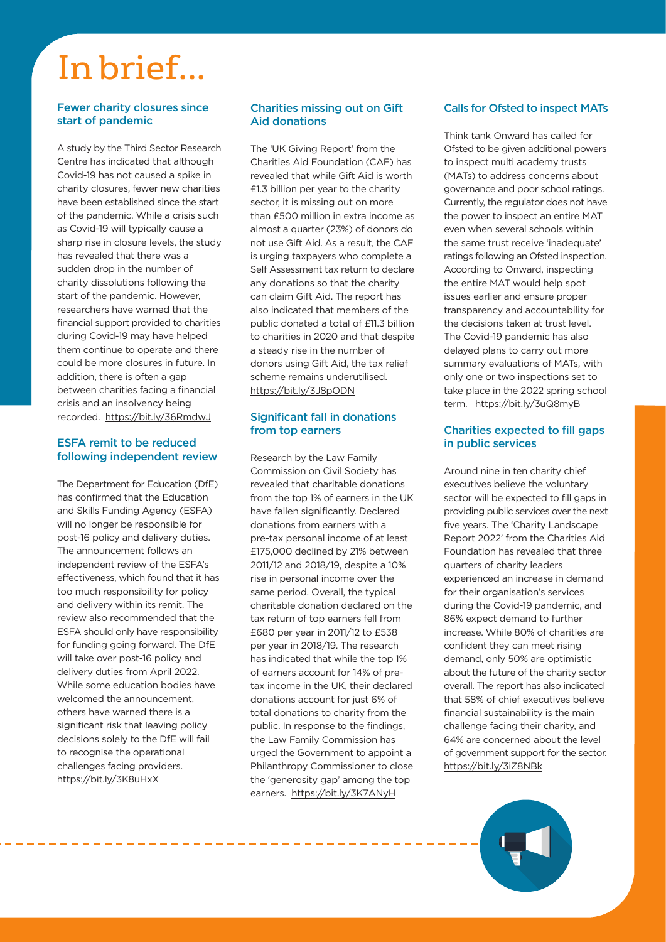# In brief...

#### Fewer charity closures since start of pandemic

A study by the Third Sector Research Centre has indicated that although Covid-19 has not caused a spike in charity closures, fewer new charities have been established since the start of the pandemic. While a crisis such as Covid-19 will typically cause a sharp rise in closure levels, the study has revealed that there was a sudden drop in the number of charity dissolutions following the start of the pandemic. However, researchers have warned that the financial support provided to charities during Covid-19 may have helped them continue to operate and there could be more closures in future. In addition, there is often a gap between charities facing a financial crisis and an insolvency being recorded. https://bit.ly/36RmdwJ

#### ESFA remit to be reduced following independent review

The Department for Education (DfE) has confirmed that the Education and Skills Funding Agency (ESFA) will no longer be responsible for post-16 policy and delivery duties. The announcement follows an independent review of the ESFA's effectiveness, which found that it has too much responsibility for policy and delivery within its remit. The review also recommended that the ESFA should only have responsibility for funding going forward. The DfE will take over post-16 policy and delivery duties from April 2022. While some education bodies have welcomed the announcement others have warned there is a significant risk that leaving policy decisions solely to the DfE will fail to recognise the operational challenges facing providers. https://bit.ly/3K8uHxX

-------------------------

#### Charities missing out on Gift Aid donations

The 'UK Giving Report' from the Charities Aid Foundation (CAF) has revealed that while Gift Aid is worth £1.3 billion per year to the charity sector, it is missing out on more than £500 million in extra income as almost a quarter (23%) of donors do not use Gift Aid. As a result, the CAF is urging taxpayers who complete a Self Assessment tax return to declare any donations so that the charity can claim Gift Aid. The report has also indicated that members of the public donated a total of £11.3 billion to charities in 2020 and that despite a steady rise in the number of donors using Gift Aid, the tax relief scheme remains underutilised. https://bit.ly/3J8pODN

#### Significant fall in donations from top earners

Research by the Law Family Commission on Civil Society has revealed that charitable donations from the top 1% of earners in the UK have fallen significantly. Declared donations from earners with a pre-tax personal income of at least £175,000 declined by 21% between 2011/12 and 2018/19, despite a 10% rise in personal income over the same period. Overall, the typical charitable donation declared on the tax return of top earners fell from £680 per year in 2011/12 to £538 per year in 2018/19. The research has indicated that while the top 1% of earners account for 14% of pretax income in the UK, their declared donations account for just 6% of total donations to charity from the public. In response to the findings, the Law Family Commission has urged the Government to appoint a Philanthropy Commissioner to close the 'generosity gap' among the top earners. https://bit.ly/3K7ANyH

#### Calls for Ofsted to inspect MATs

Think tank Onward has called for Ofsted to be given additional powers to inspect multi academy trusts (MATs) to address concerns about governance and poor school ratings. Currently, the regulator does not have the power to inspect an entire MAT even when several schools within the same trust receive 'inadequate' ratings following an Ofsted inspection. According to Onward, inspecting the entire MAT would help spot issues earlier and ensure proper transparency and accountability for the decisions taken at trust level. The Covid-19 pandemic has also delayed plans to carry out more summary evaluations of MATs, with only one or two inspections set to take place in the 2022 spring school term. https://bit.ly/3uQ8myB

#### Charities expected to fill gaps in public services

Around nine in ten charity chief executives believe the voluntary sector will be expected to fill gaps in providing public services over the next five years. The 'Charity Landscape Report 2022' from the Charities Aid Foundation has revealed that three quarters of charity leaders experienced an increase in demand for their organisation's services during the Covid-19 pandemic, and 86% expect demand to further increase. While 80% of charities are confident they can meet rising demand, only 50% are optimistic about the future of the charity sector overall. The report has also indicated that 58% of chief executives believe financial sustainability is the main challenge facing their charity, and 64% are concerned about the level of government support for the sector. https://bit.ly/3iZ8NBk